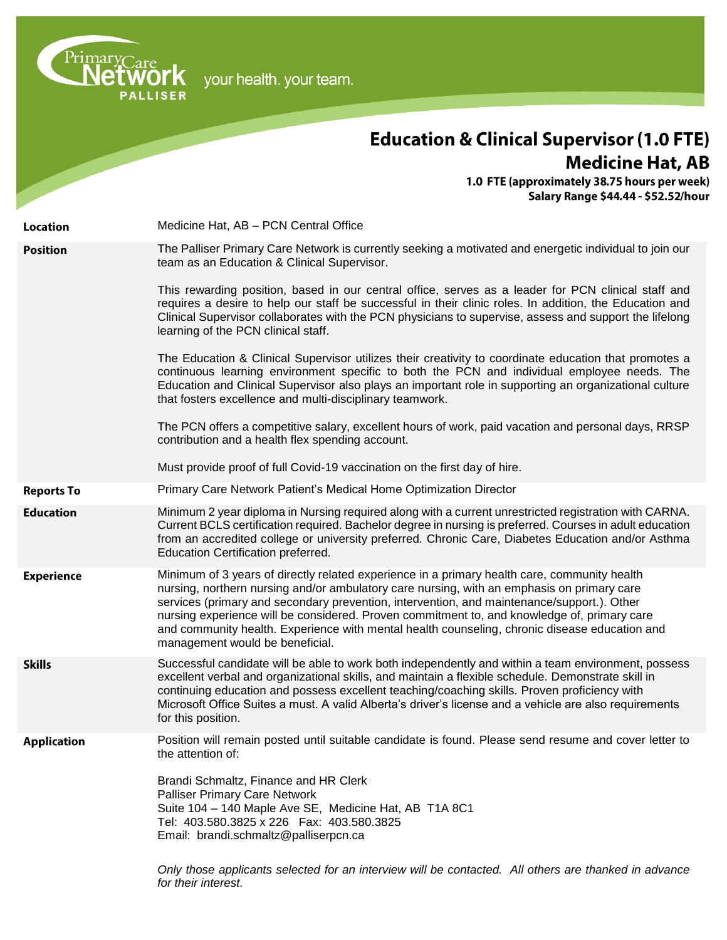your health. your team.

PrimaryCare<br> **NetWork**<br>
PALLISER

# **Education & Clinical Supervisor (1.0 FTE) Medicine Hat, AB**

1.0 FTE (approximately 38.75 hours per week)<br>Salary Range \$44.44 - \$52.52/hour

| <b>Location</b>    | Medicine Hat, AB - PCN Central Office                                                                                                                                                                                                                                                                                                                                                                                                                                                                                       |
|--------------------|-----------------------------------------------------------------------------------------------------------------------------------------------------------------------------------------------------------------------------------------------------------------------------------------------------------------------------------------------------------------------------------------------------------------------------------------------------------------------------------------------------------------------------|
| <b>Position</b>    | The Palliser Primary Care Network is currently seeking a motivated and energetic individual to join our<br>team as an Education & Clinical Supervisor.                                                                                                                                                                                                                                                                                                                                                                      |
|                    | This rewarding position, based in our central office, serves as a leader for PCN clinical staff and<br>requires a desire to help our staff be successful in their clinic roles. In addition, the Education and<br>Clinical Supervisor collaborates with the PCN physicians to supervise, assess and support the lifelong<br>learning of the PCN clinical staff.                                                                                                                                                             |
|                    | The Education & Clinical Supervisor utilizes their creativity to coordinate education that promotes a<br>continuous learning environment specific to both the PCN and individual employee needs. The<br>Education and Clinical Supervisor also plays an important role in supporting an organizational culture<br>that fosters excellence and multi-disciplinary teamwork.                                                                                                                                                  |
|                    | The PCN offers a competitive salary, excellent hours of work, paid vacation and personal days, RRSP<br>contribution and a health flex spending account.                                                                                                                                                                                                                                                                                                                                                                     |
|                    | Must provide proof of full Covid-19 vaccination on the first day of hire.                                                                                                                                                                                                                                                                                                                                                                                                                                                   |
| <b>Reports To</b>  | Primary Care Network Patient's Medical Home Optimization Director                                                                                                                                                                                                                                                                                                                                                                                                                                                           |
| <b>Education</b>   | Minimum 2 year diploma in Nursing required along with a current unrestricted registration with CARNA.<br>Current BCLS certification required. Bachelor degree in nursing is preferred. Courses in adult education<br>from an accredited college or university preferred. Chronic Care, Diabetes Education and/or Asthma<br>Education Certification preferred.                                                                                                                                                               |
| <b>Experience</b>  | Minimum of 3 years of directly related experience in a primary health care, community health<br>nursing, northern nursing and/or ambulatory care nursing, with an emphasis on primary care<br>services (primary and secondary prevention, intervention, and maintenance/support.). Other<br>nursing experience will be considered. Proven commitment to, and knowledge of, primary care<br>and community health. Experience with mental health counseling, chronic disease education and<br>management would be beneficial. |
| <b>Skills</b>      | Successful candidate will be able to work both independently and within a team environment, possess<br>excellent verbal and organizational skills, and maintain a flexible schedule. Demonstrate skill in<br>continuing education and possess excellent teaching/coaching skills. Proven proficiency with<br>Microsoft Office Suites a must. A valid Alberta's driver's license and a vehicle are also requirements<br>for this position.                                                                                   |
| <b>Application</b> | Position will remain posted until suitable candidate is found. Please send resume and cover letter to<br>the attention of:<br>Brandi Schmaltz, Finance and HR Clerk<br><b>Palliser Primary Care Network</b><br>Suite 104 - 140 Maple Ave SE, Medicine Hat, AB T1A 8C1<br>Tel: 403.580.3825 x 226  Fax: 403.580.3825<br>Email: brandi.schmaltz@palliserpcn.ca<br>Only those applicants selected for an interview will be contacted. All others are thanked in advance<br>for their interest.                                 |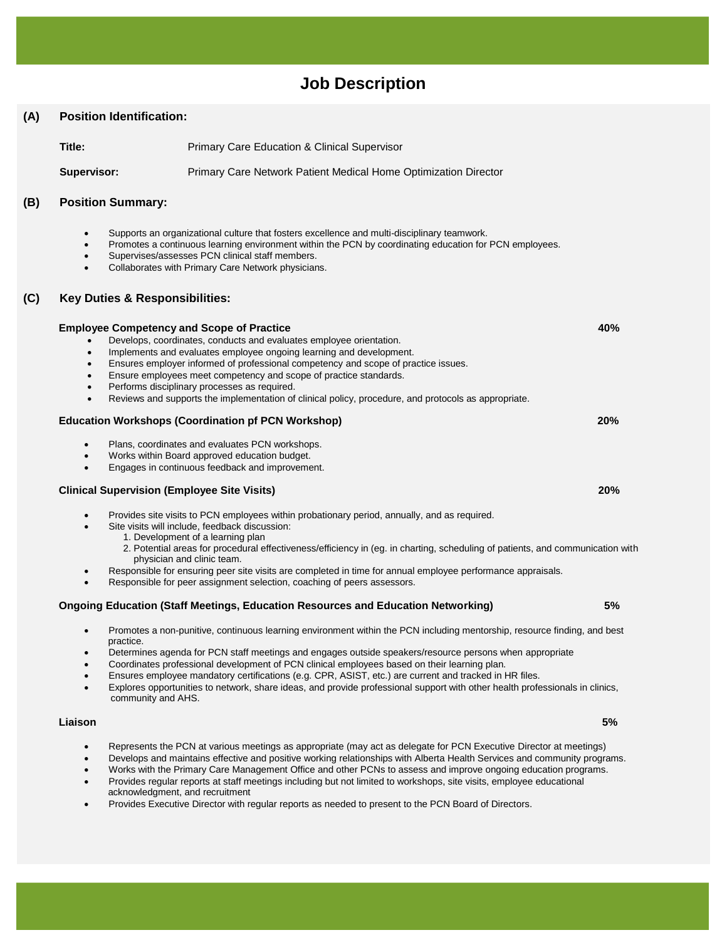# **Job Description**

# **(A) Position Identification:**

**Title:** Primary Care Education & Clinical Supervisor

**Supervisor:** Primary Care Network Patient Medical Home Optimization Director

# **(B) Position Summary:**

- Supports an organizational culture that fosters excellence and multi-disciplinary teamwork.
- Promotes a continuous learning environment within the PCN by coordinating education for PCN employees.
- Supervises/assesses PCN clinical staff members.
- Collaborates with Primary Care Network physicians.

# **(C) Key Duties & Responsibilities:**

|                        | <b>Employee Competency and Scope of Practice</b>                                                                                                                                       | 40% |
|------------------------|----------------------------------------------------------------------------------------------------------------------------------------------------------------------------------------|-----|
|                        | Develops, coordinates, conducts and evaluates employee orientation.                                                                                                                    |     |
| $\bullet$              | Implements and evaluates employee ongoing learning and development.                                                                                                                    |     |
| $\bullet$              | Ensures employer informed of professional competency and scope of practice issues.                                                                                                     |     |
|                        | Ensure employees meet competency and scope of practice standards.                                                                                                                      |     |
| $\bullet$              | Performs disciplinary processes as required.                                                                                                                                           |     |
| $\bullet$              | Reviews and supports the implementation of clinical policy, procedure, and protocols as appropriate.                                                                                   |     |
|                        | <b>Education Workshops (Coordination pf PCN Workshop)</b>                                                                                                                              | 20% |
| ٠                      | Plans, coordinates and evaluates PCN workshops.                                                                                                                                        |     |
| $\bullet$              | Works within Board approved education budget.                                                                                                                                          |     |
|                        | Engages in continuous feedback and improvement.                                                                                                                                        |     |
|                        | <b>Clinical Supervision (Employee Site Visits)</b>                                                                                                                                     | 20% |
| $\bullet$<br>$\bullet$ | Provides site visits to PCN employees within probationary period, annually, and as required.<br>Site visits will include, feedback discussion:<br>1. Development of a learning plan    |     |
|                        | 2. Potential areas for procedural effectiveness/efficiency in (eg. in charting, scheduling of patients, and communication with<br>physician and clinic team.                           |     |
| ٠<br>٠                 | Responsible for ensuring peer site visits are completed in time for annual employee performance appraisals.<br>Responsible for peer assignment selection, coaching of peers assessors. |     |
|                        | <b>Ongoing Education (Staff Meetings, Education Resources and Education Networking)</b>                                                                                                | 5%  |
| ٠                      | Promotes a non-punitive, continuous learning environment within the PCN including mentorship, resource finding, and best<br>practice.                                                  |     |
|                        | to a consistent of <b>DOM</b> stuff of a children and a consistent the constitution for a consistent colored and consistent                                                            |     |

- Determines agenda for PCN staff meetings and engages outside speakers/resource persons when appropriate
- Coordinates professional development of PCN clinical employees based on their learning plan.
- Ensures employee mandatory certifications (e.g. CPR, ASIST, etc.) are current and tracked in HR files.
- Explores opportunities to network, share ideas, and provide professional support with other health professionals in clinics, community and AHS.

#### **Liaison 5%**

- Represents the PCN at various meetings as appropriate (may act as delegate for PCN Executive Director at meetings)
- Develops and maintains effective and positive working relationships with Alberta Health Services and community programs.
- Works with the Primary Care Management Office and other PCNs to assess and improve ongoing education programs.
- Provides regular reports at staff meetings including but not limited to workshops, site visits, employee educational acknowledgment, and recruitment
- Provides Executive Director with regular reports as needed to present to the PCN Board of Directors.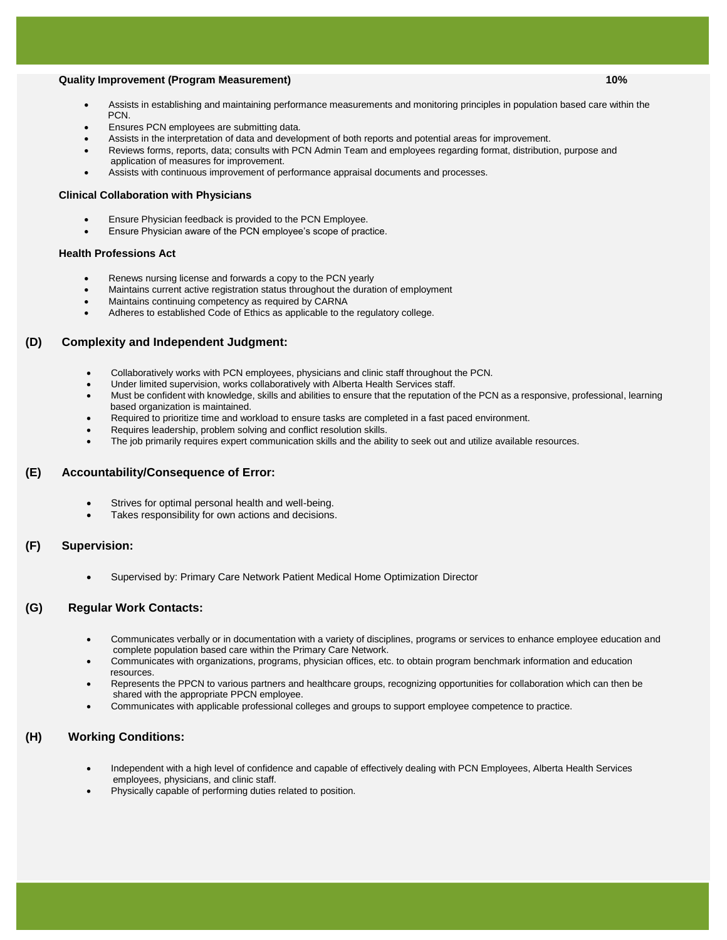### **Quality Improvement (Program Measurement) 10%**

- Assists in establishing and maintaining performance measurements and monitoring principles in population based care within the PCN.
- Ensures PCN employees are submitting data.
- Assists in the interpretation of data and development of both reports and potential areas for improvement.
- Reviews forms, reports, data; consults with PCN Admin Team and employees regarding format, distribution, purpose and application of measures for improvement.
- Assists with continuous improvement of performance appraisal documents and processes.

#### **Clinical Collaboration with Physicians**

- Ensure Physician feedback is provided to the PCN Employee.
- Ensure Physician aware of the PCN employee's scope of practice.

#### **Health Professions Act**

- Renews nursing license and forwards a copy to the PCN yearly
- Maintains current active registration status throughout the duration of employment
- Maintains continuing competency as required by CARNA
- Adheres to established Code of Ethics as applicable to the regulatory college.

#### **(D) Complexity and Independent Judgment:**

- Collaboratively works with PCN employees, physicians and clinic staff throughout the PCN.
- Under limited supervision, works collaboratively with Alberta Health Services staff.
- Must be confident with knowledge, skills and abilities to ensure that the reputation of the PCN as a responsive, professional, learning based organization is maintained.
- Required to prioritize time and workload to ensure tasks are completed in a fast paced environment.
- Requires leadership, problem solving and conflict resolution skills.
- The job primarily requires expert communication skills and the ability to seek out and utilize available resources.

#### **(E) Accountability/Consequence of Error:**

- Strives for optimal personal health and well-being.
- Takes responsibility for own actions and decisions.

#### **(F) Supervision:**

Supervised by: Primary Care Network Patient Medical Home Optimization Director

## **(G) Regular Work Contacts:**

- Communicates verbally or in documentation with a variety of disciplines, programs or services to enhance employee education and complete population based care within the Primary Care Network.
- Communicates with organizations, programs, physician offices, etc. to obtain program benchmark information and education resources.
- Represents the PPCN to various partners and healthcare groups, recognizing opportunities for collaboration which can then be shared with the appropriate PPCN employee.
- Communicates with applicable professional colleges and groups to support employee competence to practice.

# **(H) Working Conditions:**

- Independent with a high level of confidence and capable of effectively dealing with PCN Employees, Alberta Health Services employees, physicians, and clinic staff.
- Physically capable of performing duties related to position.